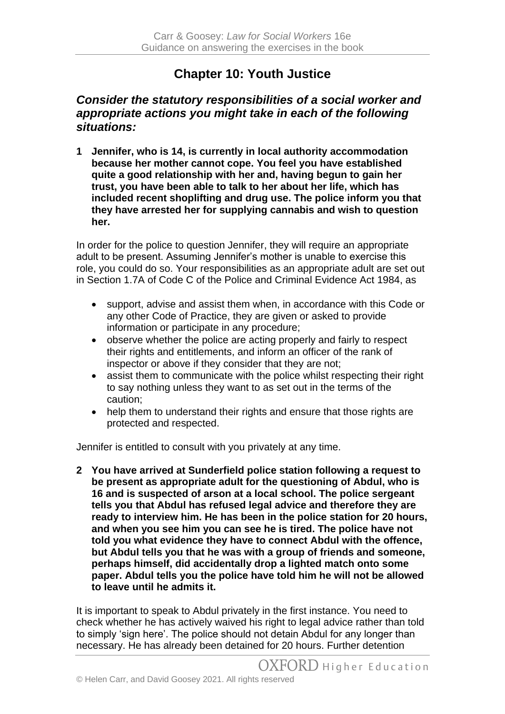## **Chapter 10: Youth Justice**

## *Consider the statutory responsibilities of a social worker and appropriate actions you might take in each of the following situations:*

**1 Jennifer, who is 14, is currently in local authority accommodation because her mother cannot cope. You feel you have established quite a good relationship with her and, having begun to gain her trust, you have been able to talk to her about her life, which has included recent shoplifting and drug use. The police inform you that they have arrested her for supplying cannabis and wish to question her.**

In order for the police to question Jennifer, they will require an appropriate adult to be present. Assuming Jennifer's mother is unable to exercise this role, you could do so. Your responsibilities as an appropriate adult are set out in Section 1.7A of Code C of the Police and Criminal Evidence Act 1984, as

- support, advise and assist them when, in accordance with this Code or any other Code of Practice, they are given or asked to provide information or participate in any procedure;
- observe whether the police are acting properly and fairly to respect their rights and entitlements, and inform an officer of the rank of inspector or above if they consider that they are not;
- assist them to communicate with the police whilst respecting their right to say nothing unless they want to as set out in the terms of the caution;
- help them to understand their rights and ensure that those rights are protected and respected.

Jennifer is entitled to consult with you privately at any time.

**2 You have arrived at Sunderfield police station following a request to be present as appropriate adult for the questioning of Abdul, who is 16 and is suspected of arson at a local school. The police sergeant tells you that Abdul has refused legal advice and therefore they are ready to interview him. He has been in the police station for 20 hours, and when you see him you can see he is tired. The police have not told you what evidence they have to connect Abdul with the offence, but Abdul tells you that he was with a group of friends and someone, perhaps himself, did accidentally drop a lighted match onto some paper. Abdul tells you the police have told him he will not be allowed to leave until he admits it.**

It is important to speak to Abdul privately in the first instance. You need to check whether he has actively waived his right to legal advice rather than told to simply 'sign here'. The police should not detain Abdul for any longer than necessary. He has already been detained for 20 hours. Further detention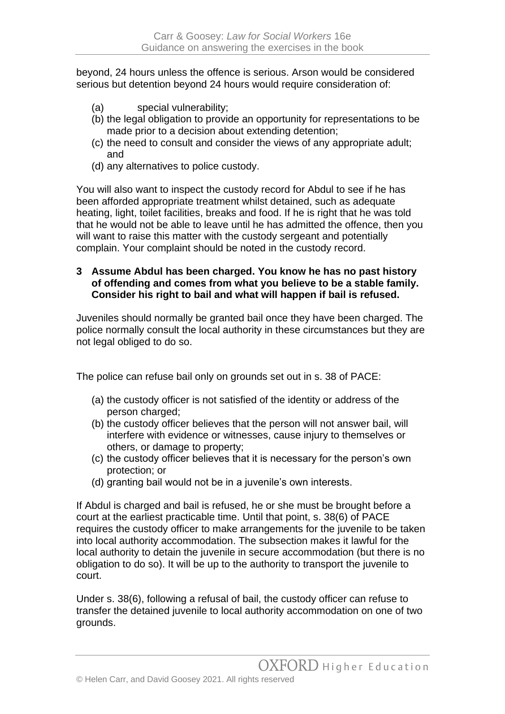beyond, 24 hours unless the offence is serious. Arson would be considered serious but detention beyond 24 hours would require consideration of:

- (a) special vulnerability;
- (b) the legal obligation to provide an opportunity for representations to be made prior to a decision about extending detention;
- (c) the need to consult and consider the views of any appropriate adult; and
- (d) any alternatives to police custody.

You will also want to inspect the custody record for Abdul to see if he has been afforded appropriate treatment whilst detained, such as adequate heating, light, toilet facilities, breaks and food. If he is right that he was told that he would not be able to leave until he has admitted the offence, then you will want to raise this matter with the custody sergeant and potentially complain. Your complaint should be noted in the custody record.

## **3 Assume Abdul has been charged. You know he has no past history of offending and comes from what you believe to be a stable family. Consider his right to bail and what will happen if bail is refused.**

Juveniles should normally be granted bail once they have been charged. The police normally consult the local authority in these circumstances but they are not legal obliged to do so.

The police can refuse bail only on grounds set out in s. 38 of PACE:

- (a) the custody officer is not satisfied of the identity or address of the person charged;
- (b) the custody officer believes that the person will not answer bail, will interfere with evidence or witnesses, cause injury to themselves or others, or damage to property;
- (c) the custody officer believes that it is necessary for the person's own protection; or
- (d) granting bail would not be in a juvenile's own interests.

If Abdul is charged and bail is refused, he or she must be brought before a court at the earliest practicable time. Until that point, s. 38(6) of PACE requires the custody officer to make arrangements for the juvenile to be taken into local authority accommodation. The subsection makes it lawful for the local authority to detain the juvenile in secure accommodation (but there is no obligation to do so). It will be up to the authority to transport the juvenile to court.

Under s. 38(6), following a refusal of bail, the custody officer can refuse to transfer the detained juvenile to local authority accommodation on one of two grounds.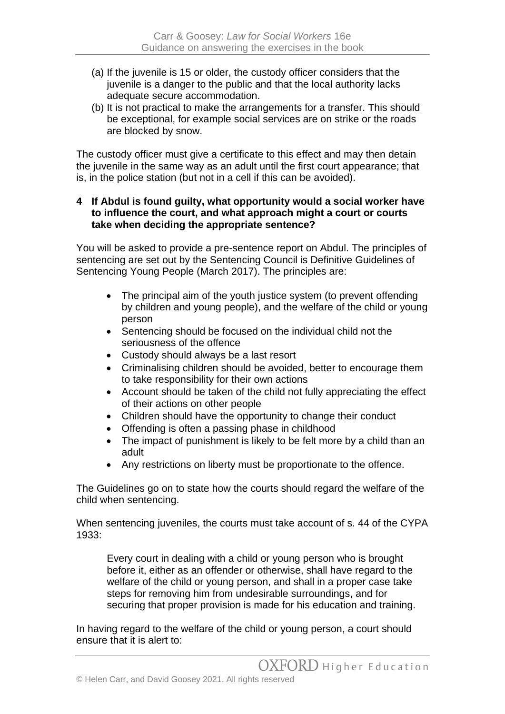- (a) If the juvenile is 15 or older, the custody officer considers that the juvenile is a danger to the public and that the local authority lacks adequate secure accommodation.
- (b) It is not practical to make the arrangements for a transfer. This should be exceptional, for example social services are on strike or the roads are blocked by snow.

The custody officer must give a certificate to this effect and may then detain the juvenile in the same way as an adult until the first court appearance; that is, in the police station (but not in a cell if this can be avoided).

## **4 If Abdul is found guilty, what opportunity would a social worker have to influence the court, and what approach might a court or courts take when deciding the appropriate sentence?**

You will be asked to provide a pre-sentence report on Abdul. The principles of sentencing are set out by the Sentencing Council is Definitive Guidelines of Sentencing Young People (March 2017). The principles are:

- The principal aim of the youth justice system (to prevent offending by children and young people), and the welfare of the child or young person
- Sentencing should be focused on the individual child not the seriousness of the offence
- Custody should always be a last resort
- Criminalising children should be avoided, better to encourage them to take responsibility for their own actions
- Account should be taken of the child not fully appreciating the effect of their actions on other people
- Children should have the opportunity to change their conduct
- Offending is often a passing phase in childhood
- The impact of punishment is likely to be felt more by a child than an adult
- Any restrictions on liberty must be proportionate to the offence.

The Guidelines go on to state how the courts should regard the welfare of the child when sentencing.

When sentencing juveniles, the courts must take account of s. 44 of the CYPA 1933:

Every court in dealing with a child or young person who is brought before it, either as an offender or otherwise, shall have regard to the welfare of the child or young person, and shall in a proper case take steps for removing him from undesirable surroundings, and for securing that proper provision is made for his education and training.

In having regard to the welfare of the child or young person, a court should ensure that it is alert to: